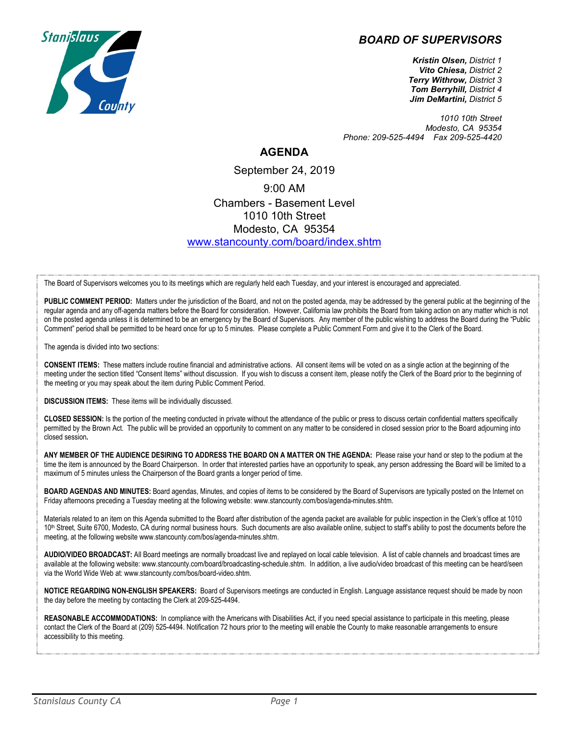## *BOARD OF SUPERVISORS*



*Kristin Olsen, District 1 Vito Chiesa, District 2 Terry Withrow, District 3 Tom Berryhill, District 4 Jim DeMartini, District 5*

*1010 10th Street Modesto, CA 95354 Phone: 209-525-4494 Fax 209-525-4420*

## **AGENDA**

September 24, 2019 9:00 AM Chambers - Basement Level 1010 10th Street Modesto, CA 95354 [www.stancounty.com/board/index.shtm](http://www.stancounty.com/board/index.shtm)

The Board of Supervisors welcomes you to its meetings which are regularly held each Tuesday, and your interest is encouraged and appreciated.

PUBLIC COMMENT PERIOD: Matters under the jurisdiction of the Board, and not on the posted agenda, may be addressed by the general public at the beginning of the regular agenda and any off-agenda matters before the Board for consideration. However, California law prohibits the Board from taking action on any matter which is not on the posted agenda unless it is determined to be an emergency by the Board of Supervisors. Any member of the public wishing to address the Board during the "Public Comment" period shall be permitted to be heard once for up to 5 minutes. Please complete a Public Comment Form and give it to the Clerk of the Board.

The agenda is divided into two sections:

**CONSENT ITEMS:** These matters include routine financial and administrative actions. All consent items will be voted on as a single action at the beginning of the meeting under the section titled "Consent Items" without discussion. If you wish to discuss a consent item, please notify the Clerk of the Board prior to the beginning of the meeting or you may speak about the item during Public Comment Period.

**DISCUSSION ITEMS:** These items will be individually discussed.

**CLOSED SESSION:** Is the portion of the meeting conducted in private without the attendance of the public or press to discuss certain confidential matters specifically permitted by the Brown Act. The public will be provided an opportunity to comment on any matter to be considered in closed session prior to the Board adjourning into closed session**.**

**ANY MEMBER OF THE AUDIENCE DESIRING TO ADDRESS THE BOARD ON A MATTER ON THE AGENDA:** Please raise your hand or step to the podium at the time the item is announced by the Board Chairperson. In order that interested parties have an opportunity to speak, any person addressing the Board will be limited to a maximum of 5 minutes unless the Chairperson of the Board grants a longer period of time.

**BOARD AGENDAS AND MINUTES:** Board agendas, Minutes, and copies of items to be considered by the Board of Supervisors are typically posted on the Internet on Friday afternoons preceding a Tuesday meeting at the following website: www.stancounty.com/bos/agenda-minutes.shtm.

Materials related to an item on this Agenda submitted to the Board after distribution of the agenda packet are available for public inspection in the Clerk's office at 1010 10<sup>th</sup> Street, Suite 6700, Modesto, CA during normal business hours. Such documents are also available online, subject to staff's ability to post the documents before the meeting, at the following website www.stancounty.com/bos/agenda-minutes.shtm.

**AUDIO/VIDEO BROADCAST:** All Board meetings are normally broadcast live and replayed on local cable television. A list of cable channels and broadcast times are available at the following website: www.stancounty.com/board/broadcasting-schedule.shtm. In addition, a live audio/video broadcast of this meeting can be heard/seen via the World Wide Web at: www.stancounty.com/bos/board-video.shtm.

**NOTICE REGARDING NON-ENGLISH SPEAKERS:** Board of Supervisors meetings are conducted in English. Language assistance request should be made by noon the day before the meeting by contacting the Clerk at 209-525-4494.

**REASONABLE ACCOMMODATIONS:** In compliance with the Americans with Disabilities Act, if you need special assistance to participate in this meeting, please contact the Clerk of the Board at (209) 525-4494. Notification 72 hours prior to the meeting will enable the County to make reasonable arrangements to ensure accessibility to this meeting.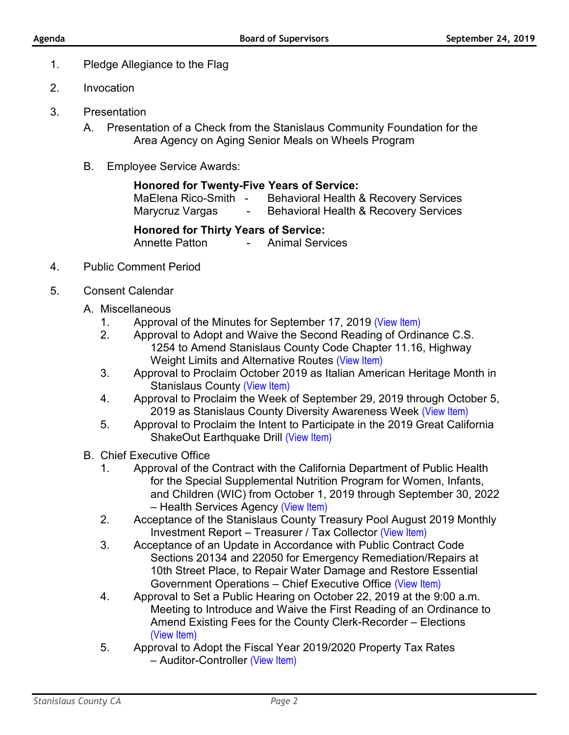- 1. Pledge Allegiance to the Flag
- 2. Invocation
- 3. Presentation
	- A. Presentation of a Check from the Stanislaus Community Foundation for the Area Agency on Aging Senior Meals on Wheels Program
	- B. Employee Service Awards:

## **Honored for Twenty-Five Years of Service:**

| MaElena Rico-Smith - | Behavioral Health & Recovery Services |
|----------------------|---------------------------------------|
| Marycruz Vargas      | Behavioral Health & Recovery Services |

## **Honored for Thirty Years of Service:**

Annette Patton - Animal Services

- 4. Public Comment Period
- 5. Consent Calendar
	- A. Miscellaneous
		- 1. Approval of the Minutes for September 17, 2019 [\(View Item\)](http://www.stancounty.com/bos/minutes/2019/min09-17-19.pdf)
		- 2. Approval to Adopt and Waive the Second Reading of Ordinance C.S. 1254 to Amend Stanislaus County Code Chapter 11.16, Highway Weight Limits and Alternative Routes [\(View Item\)](http://www.stancounty.com/bos/agenda/2019/20190924/A02.pdf)
		- 3. Approval to Proclaim October 2019 as Italian American Heritage Month in Stanislaus County [\(View Item\)](http://www.stancounty.com/bos/agenda/2019/20190924/A03.pdf)
		- 4. Approval to Proclaim the Week of September 29, 2019 through October 5, 2019 as Stanislaus County Diversity Awareness Week [\(View Item\)](http://www.stancounty.com/bos/agenda/2019/20190924/A04.pdf)
		- 5. Approval to Proclaim the Intent to Participate in the 2019 Great California ShakeOut Earthquake Drill [\(View Item\)](http://www.stancounty.com/bos/agenda/2019/20190924/A05.pdf)
	- B. Chief Executive Office
		- 1. Approval of the Contract with the California Department of Public Health for the Special Supplemental Nutrition Program for Women, Infants, and Children (WIC) from October 1, 2019 through September 30, 2022 – Health Services Agency [\(View Item\)](http://www.stancounty.com/bos/agenda/2019/20190924/B01.pdf)
		- 2. Acceptance of the Stanislaus County Treasury Pool August 2019 Monthly Investment Report – Treasurer / Tax Collector [\(View Item\)](http://www.stancounty.com/bos/agenda/2019/20190924/B02.pdf)
		- 3. Acceptance of an Update in Accordance with Public Contract Code Sections 20134 and 22050 for Emergency Remediation/Repairs at 10th Street Place, to Repair Water Damage and Restore Essential Government Operations – Chief Executive Office [\(View Item\)](http://www.stancounty.com/bos/agenda/2019/20190924/B03.pdf)
		- 4. Approval to Set a Public Hearing on October 22, 2019 at the 9:00 a.m. Meeting to Introduce and Waive the First Reading of an Ordinance to Amend Existing Fees for the County Clerk-Recorder – Elections [\(View Item\)](http://www.stancounty.com/bos/agenda/2019/20190924/B04.pdf)
		- 5. Approval to Adopt the Fiscal Year 2019/2020 Property Tax Rates – Auditor-Controller [\(View Item\)](http://www.stancounty.com/bos/agenda/2019/20190924/B05.pdf)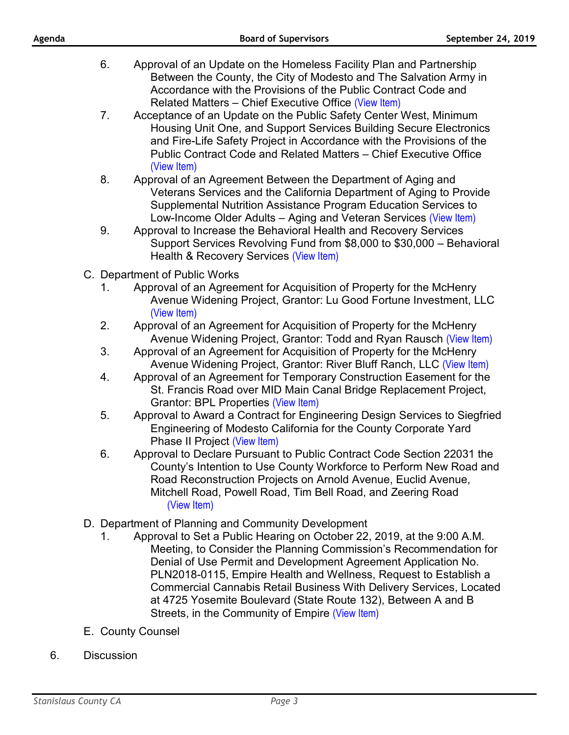| Agenda |    | <b>Board of Supervisors</b>                                                                                                                                                                                                                                                                          | September 24, 2019 |
|--------|----|------------------------------------------------------------------------------------------------------------------------------------------------------------------------------------------------------------------------------------------------------------------------------------------------------|--------------------|
|        | 6. | Approval of an Update on the Homeless Facility Plan and Partnership<br>Between the County, the City of Modesto and The Salvation Army in<br>Accordance with the Provisions of the Public Contract Code and<br>Related Matters – Chief Executive Office (View Item)                                   |                    |
|        | 7. | Acceptance of an Update on the Public Safety Center West, Minimum<br>Housing Unit One, and Support Services Building Secure Electronics<br>and Fire-Life Safety Project in Accordance with the Provisions of the<br>Public Contract Code and Related Matters - Chief Executive Office<br>(View Item) |                    |
|        | 8. | Approval of an Agreement Between the Department of Aging and<br>Veterans Services and the California Department of Aging to Provide<br>Supplemental Nutrition Assistance Program Education Services to<br>Low-Income Older Adults – Aging and Veteran Services (View Item)                           |                    |
|        | 9. | Approval to Increase the Behavioral Health and Recovery Services<br>Support Services Revolving Fund from \$8,000 to \$30,000 - Behavioral<br>Health & Recovery Services (View Item)                                                                                                                  |                    |
|        |    | C. Department of Public Works                                                                                                                                                                                                                                                                        |                    |
|        | 1. | Approval of an Agreement for Acquisition of Property for the McHenry<br>Avenue Widening Project, Grantor: Lu Good Fortune Investment, LLC<br>(View Item)                                                                                                                                             |                    |
|        | 2. | Approval of an Agreement for Acquisition of Property for the McHenry<br>Avenue Widening Project, Grantor: Todd and Ryan Rausch (View Item)                                                                                                                                                           |                    |
|        |    |                                                                                                                                                                                                                                                                                                      |                    |

- Avenue Widening Project, Grant 3. Approval of an Agreement for Acquisition of Property for the McHenry Avenue Widening Project, Grantor: River Bluff Ranch, LLC [\(View Item\)](http://www.stancounty.com/bos/agenda/2019/20190924/C03.pdf)
- 4. Approval of an Agreement for Temporary Construction Easement for the St. Francis Road over MID Main Canal Bridge Replacement Project, Grantor: BPL Properties [\(View Item\)](http://www.stancounty.com/bos/agenda/2019/20190924/C04.pdf)
- 5. Approval to Award a Contract for Engineering Design Services to Siegfried Engineering of Modesto California for the County Corporate Yard Phase II Project [\(View Item\)](http://www.stancounty.com/bos/agenda/2019/20190924/C05.pdf)
- 6. Approval to Declare Pursuant to Public Contract Code Section 22031 the County's Intention to Use County Workforce to Perform New Road and Road Reconstruction Projects on Arnold Avenue, Euclid Avenue, Mitchell Road, Powell Road, Tim Bell Road, and Zeering Road [\(View Item\)](http://www.stancounty.com/bos/agenda/2019/20190924/C06.pdf)
- D. Department of Planning and Community Development
	- 1. Approval to Set a Public Hearing on October 22, 2019, at the 9:00 A.M. Meeting, to Consider the Planning Commission's Recommendation for Denial of Use Permit and Development Agreement Application No. PLN2018-0115, Empire Health and Wellness, Request to Establish a Commercial Cannabis Retail Business With Delivery Services, Located at 4725 Yosemite Boulevard (State Route 132), Between A and B Streets, in the Community of Empire [\(View Item\)](http://www.stancounty.com/bos/agenda/2019/20190924/D01.pdf)
- E. County Counsel
- 6. Discussion